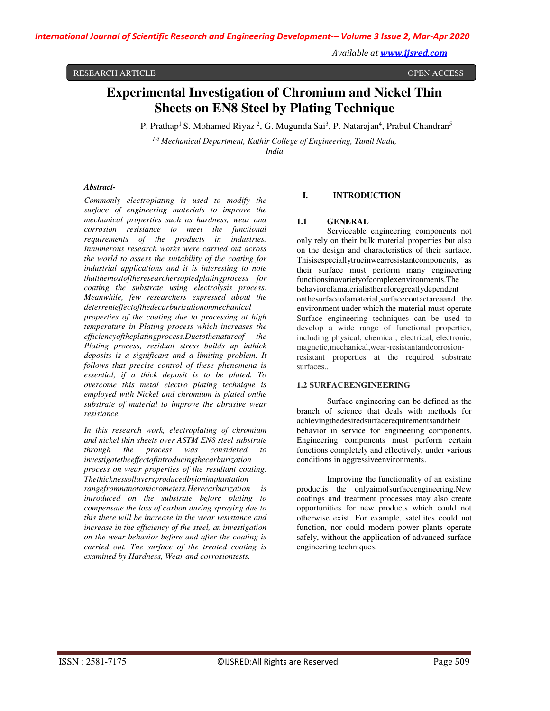RESEARCH ARTICLE **CONSERVERS** OPEN ACCESS **OPEN ACCESS** 

# **Experimental Investigation of Chromium and Nickel Thin Sheets on EN8 Steel by Plating Technique**

P. Prathap<sup>1</sup> S. Mohamed Riyaz <sup>2</sup>, G. Mugunda Sai<sup>3</sup>, P. Natarajan<sup>4</sup>, Prabul Chandran<sup>5</sup>

*1-5 Mechanical Department, Kathir College of Engineering, Tamil Nadu, India* 

#### *Abstract-*

*Commonly electroplating is used to modify the surface of engineering materials to improve the mechanical properties such as hardness, wear and corrosion resistance to meet the functional requirements of the products in industries. Innumerous research works were carried out across the world to assess the suitability of the coating for industrial applications and it is interesting to note thatthemostoftheresearchersoptedplatingprocess for coating the substrate using electrolysis process. Meanwhile, few researchers expressed about the deterrenteffectofthedecarburizationonmechanical* 

*properties of the coating due to processing at high temperature in Plating process which increases the efficiencyoftheplatingprocess.Duetothenatureof the Plating process, residual stress builds up inthick deposits is a significant and a limiting problem. It follows that precise control of these phenomena is essential, if a thick deposit is to be plated. To overcome this metal electro plating technique is employed with Nickel and chromium is plated onthe substrate of material to improve the abrasive wear resistance.* 

*In this research work, electroplating of chromium and nickel thin sheets over ASTM EN8 steel substrate through the process was considered to investigatetheeffectofintroducingthecarburization process on wear properties of the resultant coating. Thethicknessoflayersproducedbyionimplantation rangefromnanotomicrometers.Herecarburization is introduced on the substrate before plating to compensate the loss of carbon during spraying due to this there will be increase in the wear resistance and increase in the efficiency of the steel, an investigation on the wear behavior before and after the coating is carried out. The surface of the treated coating is examined by Hardness, Wear and corrosiontests.* 

## **I. INTRODUCTION**

## **1.1 GENERAL**

Serviceable engineering components not only rely on their bulk material properties but also on the design and characteristics of their surface. Thisisespeciallytrueinwearresistantcomponents, as their surface must perform many engineering functionsinavarietyofcomplexenvironments.The behaviorofamaterialisthereforegreatlydependent onthesurfaceofamaterial,surfacecontactareaand the environment under which the material must operate Surface engineering techniques can be used to develop a wide range of functional properties, including physical, chemical, electrical, electronic, magnetic,mechanical,wear-resistantandcorrosionresistant properties at the required substrate surfaces..

## **1.2 SURFACEENGINEERING**

Surface engineering can be defined as the branch of science that deals with methods for achievingthedesiredsurfacerequirementsandtheir behavior in service for engineering components. Engineering components must perform certain functions completely and effectively, under various conditions in aggressiveenvironments.

Improving the functionality of an existing productis the onlyaimofsurfaceengineering.New coatings and treatment processes may also create opportunities for new products which could not otherwise exist. For example, satellites could not function, nor could modern power plants operate safely, without the application of advanced surface engineering techniques.

*Available at www.ijsred.com*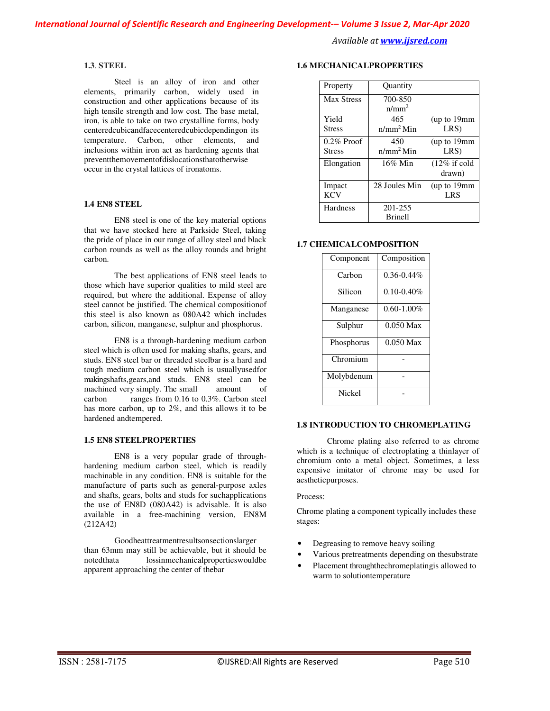#### **1.3**. **STEEL**

Steel is an alloy of iron and other elements, primarily carbon, widely used in construction and other applications because of its high tensile strength and low cost. The base metal, iron, is able to take on two crystalline forms, body centeredcubicandfacecenteredcubicdependingon its temperature. Carbon, other elements, and inclusions within iron act as hardening agents that preventthemovementofdislocationsthatotherwise occur in the crystal lattices of ironatoms.

## **1.4 EN8 STEEL**

EN8 steel is one of the key material options that we have stocked here at Parkside Steel, taking the pride of place in our range of alloy steel and black carbon rounds as well as the alloy rounds and bright carbon.

The best applications of EN8 steel leads to those which have superior qualities to mild steel are required, but where the additional. Expense of alloy steel cannot be justified. The chemical compositionof this steel is also known as 080A42 which includes carbon, silicon, manganese, sulphur and phosphorus.

EN8 is a through-hardening medium carbon steel which is often used for making shafts, gears, and studs. EN8 steel bar or threaded steelbar is a hard and tough medium carbon steel which is usuallyusedfor makingshafts,gears,and studs. EN8 steel can be machined very simply. The small amount of<br>carbon ranges from 0.16 to 0.3%. Carbon steel ranges from 0.16 to 0.3%. Carbon steel has more carbon, up to 2%, and this allows it to be hardened andtempered.

## **1.5 EN8 STEELPROPERTIES**

EN8 is a very popular grade of throughhardening medium carbon steel, which is readily machinable in any condition. EN8 is suitable for the manufacture of parts such as general-purpose axles and shafts, gears, bolts and studs for suchapplications the use of EN8D (080A42) is advisable. It is also available in a free-machining version, EN8M (212A42)

Goodheattreatmentresultsonsectionslarger than 63mm may still be achievable, but it should be notedthata lossinmechanicalpropertieswouldbe apparent approaching the center of thebar

# **1.6 MECHANICALPROPERTIES**

| Property                       | <b>Ouantity</b>              |                                    |
|--------------------------------|------------------------------|------------------------------------|
| <b>Max Stress</b>              | 700-850<br>$n/mm^2$          |                                    |
| Yield<br><b>Stress</b>         | 465<br>n/mm <sup>2</sup> Min | (up to 19mm)<br>LRS)               |
| $0.2\%$ Proof<br><b>Stress</b> | 450<br>n/mm <sup>2</sup> Min | (up to 19mm<br>LRS)                |
| Elongation                     | $16\%$ Min                   | $(12\% \text{ if cold})$<br>drawn) |
| Impact<br><b>KCV</b>           | 28 Joules Min                | (up to 19mm<br><b>LRS</b>          |
| Hardness                       | 201-255<br><b>Brinell</b>    |                                    |

#### **1.7 CHEMICALCOMPOSITION**

| Component  | Composition     |
|------------|-----------------|
| Carbon     | $0.36 - 0.44\%$ |
| Silicon    | $0.10 - 0.40\%$ |
| Manganese  | $0.60 - 1.00\%$ |
| Sulphur    | $0.050$ Max     |
| Phosphorus | $0.050$ Max     |
| Chromium   |                 |
| Molybdenum |                 |
| Nickel     |                 |

# **1.8 INTRODUCTION TO CHROMEPLATING**

Chrome plating also referred to as chrome which is a technique of electroplating a thinlayer of chromium onto a metal object. Sometimes, a less expensive imitator of chrome may be used for aestheticpurposes.

#### Process:

Chrome plating a component typically includes these stages:

- Degreasing to remove heavy soiling
- Various pretreatments depending on thesubstrate
- Placement throughthechromeplatingis allowed to warm to solutiontemperature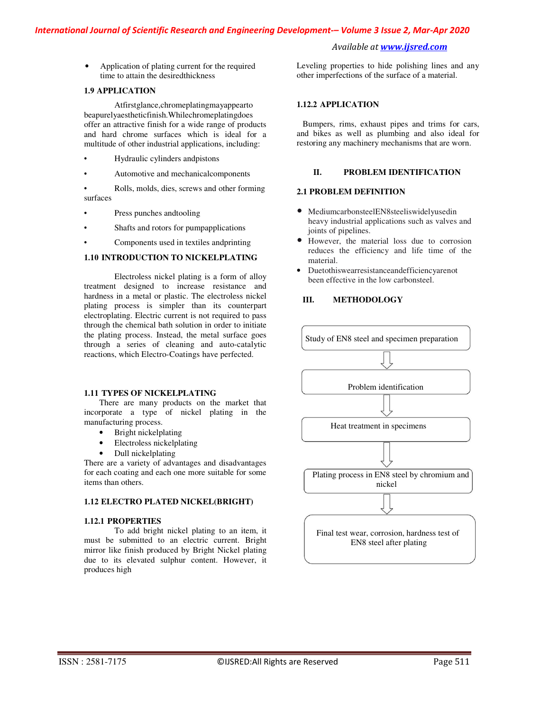• Application of plating current for the required time to attain the desiredthickness

## **1.9 APPLICATION**

Atfirstglance,chromeplatingmayappearto beapurelyaestheticfinish.Whilechromeplatingdoes offer an attractive finish for a wide range of products and hard chrome surfaces which is ideal for a multitude of other industrial applications, including:

- Hydraulic cylinders andpistons
- Automotive and mechanicalcomponents

• Rolls, molds, dies, screws and other forming surfaces

- Press punches andtooling
- Shafts and rotors for pumpapplications
- Components used in textiles andprinting

# **1.10 INTRODUCTION TO NICKELPLATING**

Electroless nickel plating is a form of alloy treatment designed to increase resistance and hardness in a metal or plastic. The electroless nickel plating process is simpler than its counterpart electroplating. Electric current is not required to pass through the chemical bath solution in order to initiate the plating process. Instead, the metal surface goes through a series of cleaning and auto-catalytic reactions, which Electro-Coatings have perfected.

#### **1.11 TYPES OF NICKELPLATING**

There are many products on the market that incorporate a type of nickel plating in the manufacturing process.

- Bright nickelplating
- Electroless nickelplating
- Dull nickelplating

There are a variety of advantages and disadvantages for each coating and each one more suitable for some items than others.

#### **1.12 ELECTRO PLATED NICKEL(BRIGHT)**

#### **1.12.1 PROPERTIES**

To add bright nickel plating to an item, it must be submitted to an electric current. Bright mirror like finish produced by Bright Nickel plating due to its elevated sulphur content. However, it produces high

Leveling properties to hide polishing lines and any other imperfections of the surface of a material.

## **1.12.2 APPLICATION**

Bumpers, rims, exhaust pipes and trims for cars, and bikes as well as plumbing and also ideal for restoring any machinery mechanisms that are worn.

## **II. PROBLEM IDENTIFICATION**

#### **2.1 PROBLEM DEFINITION**

- MediumcarbonsteelEN8steeliswidelyusedin heavy industrial applications such as valves and joints of pipelines.
- However, the material loss due to corrosion reduces the efficiency and life time of the material.
- Duetothiswearresistanceandefficiencyarenot been effective in the low carbonsteel.

# **III. METHODOLOGY**

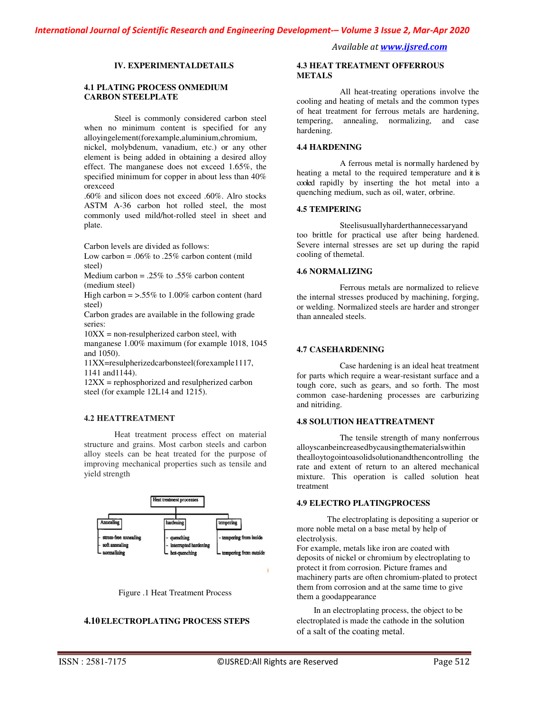## **IV. EXPERIMENTALDETAILS**

#### **4.1 PLATING PROCESS ONMEDIUM CARBON STEELPLATE**

Steel is commonly considered carbon steel when no minimum content is specified for any alloyingelement(forexample,aluminium,chromium,

nickel, molybdenum, vanadium, etc.) or any other element is being added in obtaining a desired alloy effect. The manganese does not exceed 1.65%, the specified minimum for copper in about less than 40% orexceed

.60% and silicon does not exceed .60%. Alro stocks ASTM A-36 carbon hot rolled steel, the most commonly used mild/hot-rolled steel in sheet and plate.

Carbon levels are divided as follows:

Low carbon =  $.06\%$  to  $.25\%$  carbon content (mild steel)

Medium carbon =  $.25\%$  to  $.55\%$  carbon content (medium steel)

High carbon  $=$  >.55% to 1.00% carbon content (hard steel)

Carbon grades are available in the following grade series:

 $10XX =$  non-resulpherized carbon steel, with manganese 1.00% maximum (for example 1018, 1045 and 1050).

11XX=resulpherizedcarbonsteel(forexample1117, 1141 and1144).

12XX = rephosphorized and resulpherized carbon steel (for example 12L14 and 1215).

## **4.2 HEATTREATMENT**

Heat treatment process effect on material structure and grains. Most carbon steels and carbon alloy steels can be heat treated for the purpose of improving mechanical properties such as tensile and yield strength





# **4.10ELECTROPLATING PROCESS STEPS**

#### **4.3 HEAT TREATMENT OFFERROUS METALS**

All heat-treating operations involve the cooling and heating of metals and the common types of heat treatment for ferrous metals are hardening, tempering, annealing, normalizing, and case hardening.

## **4.4 HARDENING**

A ferrous metal is normally hardened by heating a metal to the required temperature and it is cooled rapidly by inserting the hot metal into a quenching medium, such as oil, water, orbrine.

#### **4.5 TEMPERING**

Steelisusuallyharderthannecessaryand too brittle for practical use after being hardened. Severe internal stresses are set up during the rapid cooling of themetal.

## **4.6 NORMALIZING**

Ferrous metals are normalized to relieve the internal stresses produced by machining, forging, or welding. Normalized steels are harder and stronger than annealed steels.

#### **4.7 CASEHARDENING**

Case hardening is an ideal heat treatment for parts which require a wear-resistant surface and a tough core, such as gears, and so forth. The most common case-hardening processes are carburizing and nitriding.

#### **4.8 SOLUTION HEATTREATMENT**

The tensile strength of many nonferrous alloyscanbeincreasedbycausingthematerialswithin thealloytogointoasolidsolutionandthencontrolling the rate and extent of return to an altered mechanical mixture. This operation is called solution heat treatment

## **4.9 ELECTRO PLATINGPROCESS**

The electroplating is depositing a superior or more noble metal on a base metal by help of electrolysis.

For example, metals like iron are coated with deposits of nickel or chromium by electroplating to protect it from corrosion. Picture frames and machinery parts are often chromium-plated to protect them from corrosion and at the same time to give them a goodappearance

In an electroplating process, the object to be electroplated is made the cathode in the solution of a salt of the coating metal.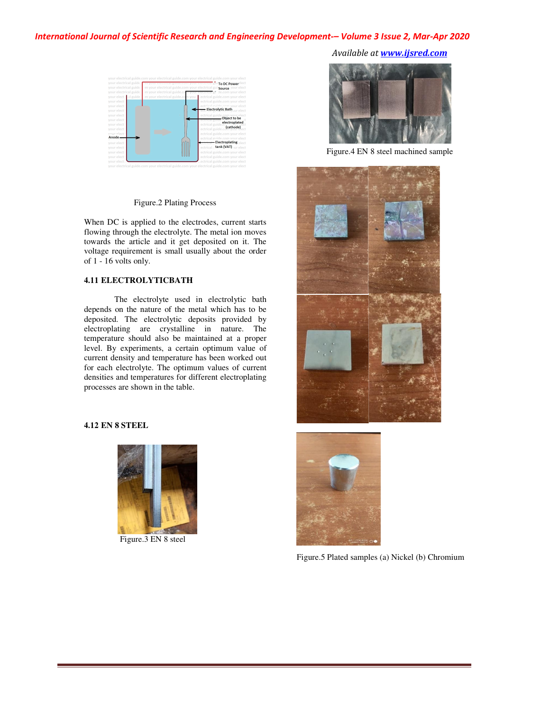# *International Journal of Scientific Research and Engineering Development-– Volume 3 Issue 2, Mar-Apr 2020*



## Figure.2 Plating Process

When DC is applied to the electrodes, current starts flowing through the electrolyte. The metal ion moves towards the article and it get deposited on it. The voltage requirement is small usually about the order of 1 - 16 volts only.

## **4.11 ELECTROLYTICBATH**

The electrolyte used in electrolytic bath depends on the nature of the metal which has to be deposited. The electrolytic deposits provided by electroplating are crystalline in nature. The temperature should also be maintained at a proper level. By experiments, a certain optimum value of current density and temperature has been worked out for each electrolyte. The optimum values of current densities and temperatures for different electroplating processes are shown in the table.

# **4.12 EN 8 STEEL**



Figure.3 EN 8 steel

*Available at www.ijsred.com*



Figure.4 EN 8 steel machined sample





Figure.5 Plated samples (a) Nickel (b) Chromium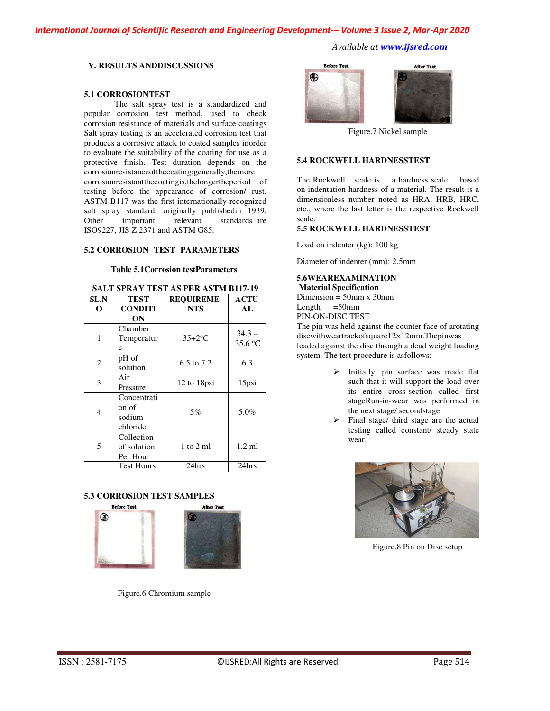*International Journal of Scientific Research and Engineering Development-– Volume 3 Issue 2, Mar-Apr 2020*

*Available at www.ijsred.com*

## **V. RESULTS ANDDISCUSSIONS**

#### **5.1 CORROSIONTEST**

The salt spray test is a standardized and popular corrosion test method, used to check corrosion resistance of materials and surface coatings Salt spray testing is an accelerated corrosion test that produces a corrosive attack to coated samples inorder to evaluate the suitability of the coating for use as a protective finish. Test duration depends on the corrosionresistanceofthecoating;generally,themore corrosionresistantthecoatingis,thelongertheperiod of testing before the appearance of corrosion/ rust. ASTM B117 was the first internationally recognized salt spray standard, originally publishedin 1939. Other important relevant standards are ISO9227, JIS Z 2371 and ASTM G85.

## **5.2 CORROSION TEST PARAMETERS**

## **Table 5.1Corrosion testParameters**

| <b>SALT SPRAY TEST AS PER ASTM B117-19</b> |                                            |                                |                     |
|--------------------------------------------|--------------------------------------------|--------------------------------|---------------------|
| SL.N<br>O                                  | <b>TEST</b><br><b>CONDITI</b><br>ON        | <b>REQUIREME</b><br><b>NTS</b> | ACTU<br>AL          |
| 1                                          | Chamber<br>Temperatur<br>e                 | $35+2$ °C                      | $34.3 -$<br>35.6 °C |
| $\overline{2}$                             | pH of<br>solution                          | 6.5 to 7.2                     | 6.3                 |
| 3                                          | Air<br>Pressure                            | 12 to 18psi                    | 15psi               |
| 4                                          | Concentrati<br>on of<br>sodium<br>chloride | 5%                             | 5.0%                |
| 5                                          | Collection<br>of solution<br>Per Hour      | $1$ to $2$ ml                  | $1.2 \text{ ml}$    |
|                                            | <b>Test Hours</b>                          | 24hrs                          | 24hrs               |

## **5.3 CORROSION TEST SAMPLES**



Figure.6 Chromium sample



Figure.7 Nickel sample

#### **5.4 ROCKWELL HARDNESSTEST**

The Rockwell scale is a hardness scale based on indentation hardness of a material. The result is a dimensionless number noted as HRA, HRB, HRC, etc., where the last letter is the respective Rockwell scale.

## **5.5 ROCKWELL HARDNESSTEST**

Load on indenter (kg): 100 kg

Diameter of indenter (mm): 2.5mm

#### **5.6WEAREXAMINATION Material Specification**

Dimension = 50mm x 30mm<br>Length = 50mm

 $=50$ mm

PIN-ON-DISC TEST

The pin was held against the counter face of arotating discwithweartrackofsquare12×12mm.Thepinwas loaded against the disc through a dead weight loading system. The test procedure is asfollows:

- $\triangleright$  Initially, pin surface was made flat such that it will support the load over its entire cross-section called first stageRun-in-wear was performed in the next stage/ secondstage
- $\triangleright$  Final stage/ third stage are the actual testing called constant/ steady state wear.



Figure.8 Pin on Disc setup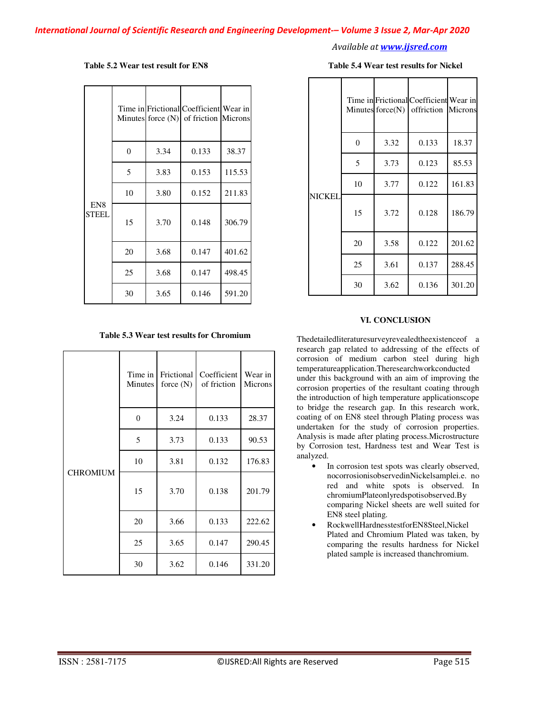#### **Table 5.2 Wear test result for EN8**

|                                 |    |      | Time in Frictional Coefficient Wear in<br>Minutes force $(N)$ of friction Microns |        |
|---------------------------------|----|------|-----------------------------------------------------------------------------------|--------|
|                                 | 0  | 3.34 | 0.133                                                                             | 38.37  |
|                                 | 5  | 3.83 | 0.153                                                                             | 115.53 |
| EN <sub>8</sub><br><b>STEEL</b> | 10 | 3.80 | 0.152                                                                             | 211.83 |
|                                 | 15 | 3.70 | 0.148                                                                             | 306.79 |
|                                 | 20 | 3.68 | 0.147                                                                             | 401.62 |
|                                 | 25 | 3.68 | 0.147                                                                             | 498.45 |
|                                 | 30 | 3.65 | 0.146                                                                             | 591.20 |

**Table 5.3 Wear test results for Chromium** 

| <b>CHROMIUM</b> | Time in<br>Minutes | Frictional<br>force $(N)$ | Coefficient<br>of friction | Wear in<br>Microns |
|-----------------|--------------------|---------------------------|----------------------------|--------------------|
|                 | $\overline{0}$     | 3.24                      | 0.133                      | 28.37              |
|                 | 5                  | 3.73                      | 0.133                      | 90.53              |
|                 | 10                 | 3.81                      | 0.132                      | 176.83             |
|                 | 15                 | 3.70                      | 0.138                      | 201.79             |
|                 | 20                 | 3.66                      | 0.133                      | 222.62             |
|                 | 25                 | 3.65                      | 0.147                      | 290.45             |
|                 | 30                 | 3.62                      | 0.146                      | 331.20             |

#### **Table 5.4 Wear test results for Nickel**

|        |                |      | Time in Frictional Coefficient Wear in<br>Minutes $force(N)$ offriction Microns |        |
|--------|----------------|------|---------------------------------------------------------------------------------|--------|
|        | $\overline{0}$ | 3.32 | 0.133                                                                           | 18.37  |
|        | 5              | 3.73 | 0.123                                                                           | 85.53  |
| NICKEL | 10             | 3.77 | 0.122                                                                           | 161.83 |
|        | 15             | 3.72 | 0.128                                                                           | 186.79 |
|        | 20             | 3.58 | 0.122                                                                           | 201.62 |
|        | 25             | 3.61 | 0.137                                                                           | 288.45 |
|        | 30             | 3.62 | 0.136                                                                           | 301.20 |

## **VI. CONCLUSION**

Thedetailedliteraturesurveyrevealedtheexistenceof a research gap related to addressing of the effects of corrosion of medium carbon steel during high temperatureapplication.Theresearchworkconducted under this background with an aim of improving the corrosion properties of the resultant coating through the introduction of high temperature applicationscope to bridge the research gap. In this research work, coating of on EN8 steel through Plating process was undertaken for the study of corrosion properties. Analysis is made after plating process.Microstructure by Corrosion test, Hardness test and Wear Test is analyzed.

- In corrosion test spots was clearly observed, nocorrosionisobservedinNickelsamplei.e. no red and white spots is observed. In chromiumPlateonlyredspotisobserved.By comparing Nickel sheets are well suited for EN8 steel plating.
- RockwellHardnesstestforEN8Steel,Nickel Plated and Chromium Plated was taken, by comparing the results hardness for Nickel plated sample is increased thanchromium.